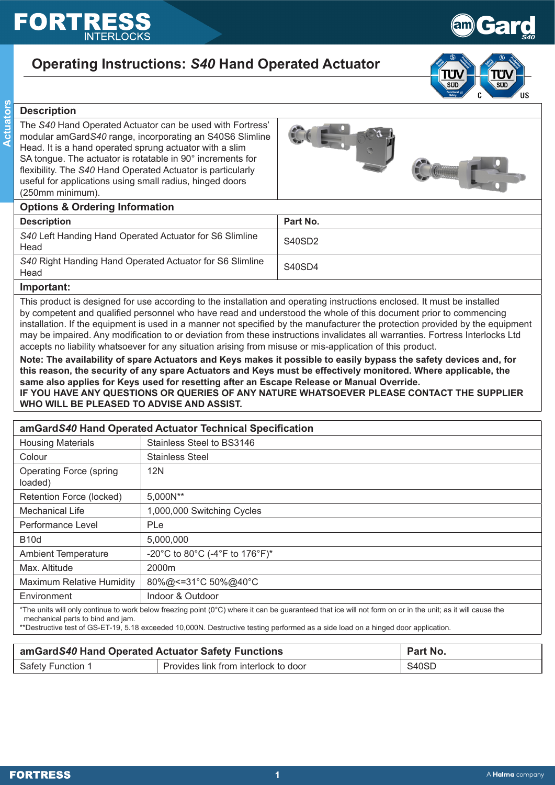# FORT





Gard

*S40*

# **Description**

**Actuators**

**Actuators** 

The *S40* Hand Operated Actuator can be used with Fortress' modular amGard*S40* range, incorporating an S40S6 Slimline Head. It is a hand operated sprung actuator with a slim SA tongue. The actuator is rotatable in 90° increments for flexibility. The *S40* Hand Operated Actuator is particularly useful for applications using small radius, hinged doors (250mm minimum).



# **Options & Ordering Information**

| <b>Options &amp; Ordering information</b>                        |          |  |
|------------------------------------------------------------------|----------|--|
| <b>Description</b>                                               | Part No. |  |
| S40 Left Handing Hand Operated Actuator for S6 Slimline<br>Head  | S40SD2   |  |
| S40 Right Handing Hand Operated Actuator for S6 Slimline<br>Head | S40SD4   |  |

### **Important:**

This product is designed for use according to the installation and operating instructions enclosed. It must be installed by competent and qualified personnel who have read and understood the whole of this document prior to commencing installation. If the equipment is used in a manner not specified by the manufacturer the protection provided by the equipment may be impaired. Any modification to or deviation from these instructions invalidates all warranties. Fortress Interlocks Ltd accepts no liability whatsoever for any situation arising from misuse or mis-application of this product.

**Note: The availability of spare Actuators and Keys makes it possible to easily bypass the safety devices and, for this reason, the security of any spare Actuators and Keys must be effectively monitored. Where applicable, the same also applies for Keys used for resetting after an Escape Release or Manual Override. IF YOU HAVE ANY QUESTIONS OR QUERIES OF ANY NATURE WHATSOEVER PLEASE CONTACT THE SUPPLIER WHO WILL BE PLEASED TO ADVISE AND ASSIST.**

| amGardS40 Hand Operated Actuator Technical Specification                                                                                                                                                                                                                                                                             |                                |  |
|--------------------------------------------------------------------------------------------------------------------------------------------------------------------------------------------------------------------------------------------------------------------------------------------------------------------------------------|--------------------------------|--|
| <b>Housing Materials</b>                                                                                                                                                                                                                                                                                                             | Stainless Steel to BS3146      |  |
| Colour                                                                                                                                                                                                                                                                                                                               | Stainless Steel                |  |
| <b>Operating Force (spring</b><br>loaded)                                                                                                                                                                                                                                                                                            | 12N                            |  |
| Retention Force (locked)                                                                                                                                                                                                                                                                                                             | 5,000N**                       |  |
| <b>Mechanical Life</b>                                                                                                                                                                                                                                                                                                               | 1,000,000 Switching Cycles     |  |
| Performance Level                                                                                                                                                                                                                                                                                                                    | <b>PLe</b>                     |  |
| <b>B10d</b>                                                                                                                                                                                                                                                                                                                          | 5,000,000                      |  |
| <b>Ambient Temperature</b>                                                                                                                                                                                                                                                                                                           | -20°C to 80°C (-4°F to 176°F)* |  |
| Max. Altitude                                                                                                                                                                                                                                                                                                                        | 2000m                          |  |
| Maximum Relative Humidity                                                                                                                                                                                                                                                                                                            | 80%@<=31°C 50%@40°C            |  |
| Environment                                                                                                                                                                                                                                                                                                                          | Indoor & Outdoor               |  |
| *The units will only continue to work below freezing point (0°C) where it can be guaranteed that ice will not form on or in the unit; as it will cause the<br>mechanical parts to bind and jam.<br>**Destructive test of GS-ET-19, 5.18 exceeded 10,000N. Destructive testing performed as a side load on a hinged door application. |                                |  |

| amGardS40 Hand Operated Actuator Safety Functions |                                      | Part No. |
|---------------------------------------------------|--------------------------------------|----------|
| Safety Function 1                                 | Provides link from interlock to door | S40SD    |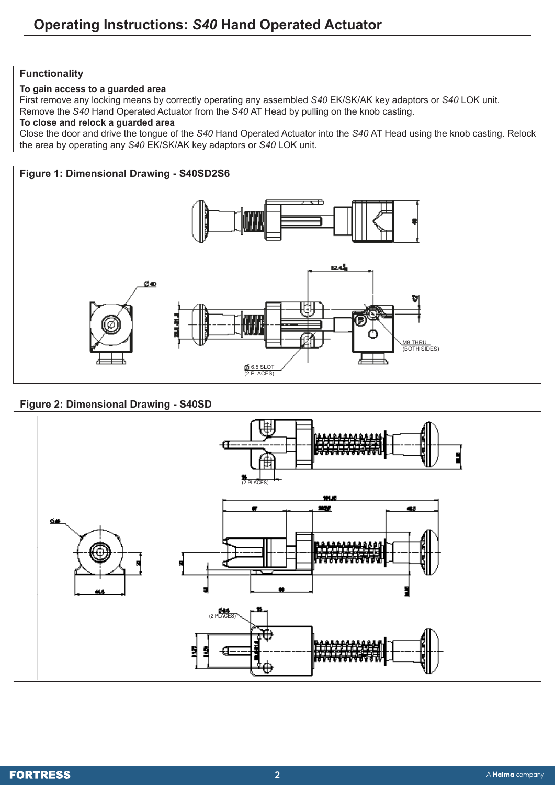# **Functionality**

**To gain access to a guarded area**

First remove any locking means by correctly operating any assembled *S40* EK/SK/AK key adaptors or *S40* LOK unit. Remove the *S40* Hand Operated Actuator from the *S40* AT Head by pulling on the knob casting.

# **To close and relock a guarded area**

Close the door and drive the tongue of the *S40* Hand Operated Actuator into the *S40* AT Head using the knob casting. Relock the area by operating any *S40* EK/SK/AK key adaptors or *S40* LOK unit.